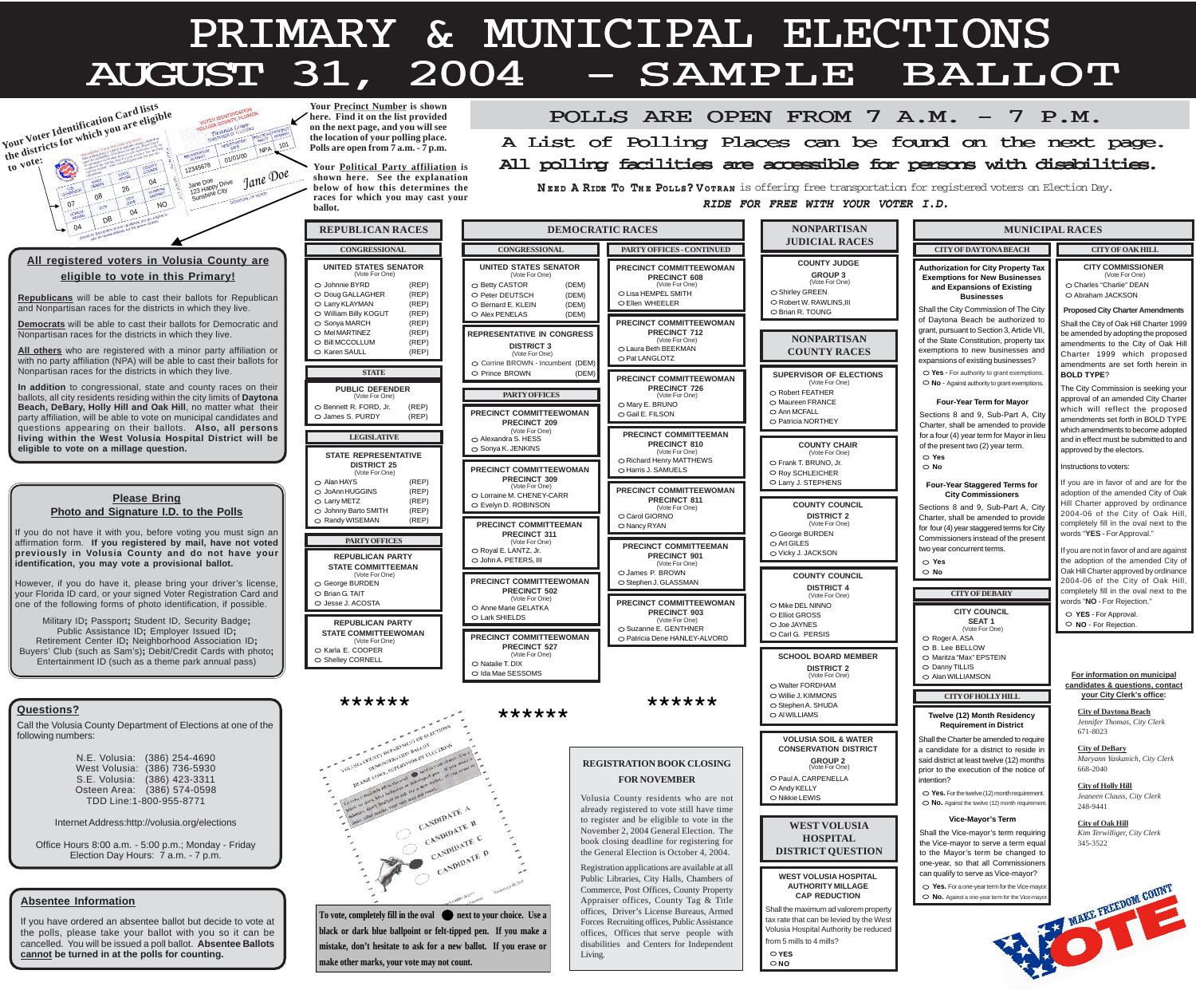### **All registered voters in Volusia County are eligible to vote in this Primary!**

**Republicans** will be able to cast their ballots for Republican and Nonpartisan races for the districts in which they live.

**Democrats** will be able to cast their ballots for Democratic and Nonpartisan races for the districts in which they live.

If you do not have it with you, before voting you must sign an affirmation form. **If you registered by mail, have not voted previously in Volusia County and do not have your identification, you may vote a provisional ballot.**

**All others** who are registered with a minor party affiliation or with no party affiliation (NPA) will be able to cast their ballots for Nonpartisan races for the districts in which they live.

**In addition** to congressional, state and county races on their ballots, all city residents residing within the city limits of **Daytona Beach, DeBary, Holly Hill and Oak Hill**, no matter what their party affiliation, will be able to vote on municipal candidates and questions appearing on their ballots. **Also, all persons living within the West Volusia Hospital District will be eligible to vote on a millage question.**

However, if you do have it, please bring your driver's license, your Florida ID card, or your signed Voter Registration Card and one of the following forms of photo identification, if possible.

Military ID**;** Passport**;** Student ID, Security Badge**;** Public Assistance ID**;** Employer Issued ID**;** Retirement Center ID**;** Neighborhood Association ID**;** Buyers' Club (such as Sam's)**;** Debit/Credit Cards with photo**;** Entertainment ID (such as a theme park annual pass)

#### **Please Bring Photo and Signature I.D. to the Polls**

#### **Absentee Information**

If you have ordered an absentee ballot but decide to vote at the polls, please take your ballot with you so it can be cancelled. You will be issued a poll ballot. **Absentee Ballots cannot be turned in at the polls for counting.**

POLLS ARE OPEN FROM 7 A.M. - 7 P.M. e accessible for persons with disabiliti A List of Polling Places can be found on the next page. All polling facilities are accessible for persons with disabilities.

N EED A RIDE To The Polls? Vorran is offering free transportation for registered voters on Election Day. RIDE FOR FREE WITH YOUR VOTER I.D.

| $\overline{\mathsf{L}}$              |
|--------------------------------------|
| <b>NER</b>                           |
|                                      |
| endments                             |
| าarter 1999<br>e proposed            |
| of Oak Hill<br>proposed              |
| า herein in                          |
| eking your؛                          |
| ity Charter<br>proposed              |
| <b>OLD TYPE</b><br>me adopted        |
| itted to and                         |
|                                      |
| are for the<br>City of Oak           |
| ordinance<br>Oak Hill,               |
| next to the                          |
| are against                          |
| ded City of<br>y ordinance           |
| Oak Hill,<br>next to the             |
| IJ                                   |
|                                      |
|                                      |
|                                      |
| <u>ınicipal</u><br><u>s, contact</u> |
| <u>fice:</u>                         |
| Clerk                                |
|                                      |
| ty Clerk                             |
|                                      |
| lerk                                 |
| lerk                                 |
|                                      |
|                                      |
| <b>JUN'</b>                          |
|                                      |

| <b>REPUBLICAN RACES</b>                                                                                                                         |                                           |  |  |  |  |  |  |
|-------------------------------------------------------------------------------------------------------------------------------------------------|-------------------------------------------|--|--|--|--|--|--|
| <b>CONGRESSIONAL</b>                                                                                                                            |                                           |  |  |  |  |  |  |
| <b>UNITED STATES SENATOR</b><br>(Vote For One)<br>$\circ$ Johnnie BYRD                                                                          | (REP)                                     |  |  |  |  |  |  |
| $\circlearrowright$ Doug GALLAGHER<br>○ Larry KLAYMAN<br>$\circ$ William Billy KOGUT<br>$\circ$ Sonya MARCH                                     | (REP)<br>(REP)<br>(REP)<br>(REP)          |  |  |  |  |  |  |
| $\circ$ Mel MARTINEZ<br>O Bill MCCOLLUM<br>○ Karen SAULL                                                                                        | (REP)<br>(REP)<br>(REP)                   |  |  |  |  |  |  |
| <b>STATE</b>                                                                                                                                    |                                           |  |  |  |  |  |  |
| <b>PUBLIC DEFENDER</b>                                                                                                                          |                                           |  |  |  |  |  |  |
| (Vote For One)<br>$\circ$ Bennett R. FORD, Jr. (REP)<br>$\circlearrowright$ James S. PURDY                                                      | (REP)                                     |  |  |  |  |  |  |
| <b>LEGISLATIVE</b>                                                                                                                              |                                           |  |  |  |  |  |  |
| <b>STATE REPRESENTATIVE</b><br><b>DISTRICT 25</b>                                                                                               |                                           |  |  |  |  |  |  |
| (Vote For One)<br>$\circ$ Alan HAYS<br>$\circ$ JoAnn HUGGINS<br>$\circ$ Larry METZ<br>$\circlearrowright$ Johnny Barto SMITH<br>○ Randy WISEMAN | (REP)<br>(REP)<br>(REP)<br>(REP)<br>(REP) |  |  |  |  |  |  |
| <b>PARTY OFFICES</b>                                                                                                                            |                                           |  |  |  |  |  |  |
| <b>REPUBLICAN PARTY</b><br><b>STATE COMMITTEEMAN</b>                                                                                            |                                           |  |  |  |  |  |  |
| (Vote For One)<br>$\circlearrowright$ George BURDEN                                                                                             |                                           |  |  |  |  |  |  |
| $\circ$ Brian G. TAIT<br>○ Jesse J. ACOSTA                                                                                                      |                                           |  |  |  |  |  |  |
| <b>REPUBLICAN PARTY</b><br><b>STATE COMMITTEEWOMAN</b>                                                                                          |                                           |  |  |  |  |  |  |
| (Vote For One)<br>○ Karla E. COOPER<br>○ Shelley CORNELL                                                                                        |                                           |  |  |  |  |  |  |

| NO<br>04                                                                                                                                                                                                                                                                                                                                                                                                                                                                                              | ballot.                                                                                                                                                                                                                                                                          |                                                                                                                                                                                                                                    |                                                                                                                                                                                                                                                                                                                             | <i>RIDE FOR FREE WITH YOUR VOTER I.D.</i>                                                                                                                                                                                                                                 |                                                                                                                                                                                                                                                                                                                                                                                            |                                                                                                                                                                                                                                                                                                                                                                      |  |  |
|-------------------------------------------------------------------------------------------------------------------------------------------------------------------------------------------------------------------------------------------------------------------------------------------------------------------------------------------------------------------------------------------------------------------------------------------------------------------------------------------------------|----------------------------------------------------------------------------------------------------------------------------------------------------------------------------------------------------------------------------------------------------------------------------------|------------------------------------------------------------------------------------------------------------------------------------------------------------------------------------------------------------------------------------|-----------------------------------------------------------------------------------------------------------------------------------------------------------------------------------------------------------------------------------------------------------------------------------------------------------------------------|---------------------------------------------------------------------------------------------------------------------------------------------------------------------------------------------------------------------------------------------------------------------------|--------------------------------------------------------------------------------------------------------------------------------------------------------------------------------------------------------------------------------------------------------------------------------------------------------------------------------------------------------------------------------------------|----------------------------------------------------------------------------------------------------------------------------------------------------------------------------------------------------------------------------------------------------------------------------------------------------------------------------------------------------------------------|--|--|
| DB                                                                                                                                                                                                                                                                                                                                                                                                                                                                                                    | <b>REPUBLICAN RACES</b>                                                                                                                                                                                                                                                          |                                                                                                                                                                                                                                    | <b>DEMOCRATIC RACES</b>                                                                                                                                                                                                                                                                                                     | <b>NONPARTISAN</b>                                                                                                                                                                                                                                                        | <b>MUNICIPAL RACES</b>                                                                                                                                                                                                                                                                                                                                                                     |                                                                                                                                                                                                                                                                                                                                                                      |  |  |
|                                                                                                                                                                                                                                                                                                                                                                                                                                                                                                       | <b>CONGRESSIONAL</b>                                                                                                                                                                                                                                                             | <b>CONGRESSIONAL</b>                                                                                                                                                                                                               | <b>PARTY OFFICES - CONTINUED</b>                                                                                                                                                                                                                                                                                            | <b>JUDICIAL RACES</b>                                                                                                                                                                                                                                                     | <b>CITY OF DAYTONA BEACH</b>                                                                                                                                                                                                                                                                                                                                                               | <b>CITY OF OAK HILL</b>                                                                                                                                                                                                                                                                                                                                              |  |  |
| stered voters in Volusia County are<br>gible to vote in this Primary!<br>will be able to cast their ballots for Republican<br>san races for the districts in which they live.                                                                                                                                                                                                                                                                                                                         | <b>UNITED STATES SENATOR</b><br>(Vote For One)<br>○ Johnnie BYRD<br>(REP)<br>(REP)<br>O Doug GALLAGHER<br>O Larry KLAYMAN<br>(REP)                                                                                                                                               | <b>UNITED STATES SENATOR</b><br>(Vote For One)<br>○ Betty CASTOR<br>O Peter DEUTSCH<br>(DEM)<br>○ Bernard E. KLEIN                                                                                                                 | <b>PRECINCT COMMITTEEWOMAN</b><br><b>PRECINCT 608</b><br>(Vote For One)<br>(DEM)<br>O Lisa HEMPEL SMITH<br>○ Ellen WHEELER<br>(DEM)                                                                                                                                                                                         | <b>COUNTY JUDGE</b><br><b>GROUP 3</b><br>(Vote For One)<br>○ Shirley GREEN<br>O Robert W. RAWLINS, III                                                                                                                                                                    | <b>Authorization for City Property Tax</b><br><b>Exemptions for New Businesses</b><br>and Expansions of Existing<br><b>Businesses</b><br>Shall the City Commission of The City                                                                                                                                                                                                             | <b>CITY COMMISSIONER</b><br>(Vote For One)<br>○ Charles "Charlie" DEAN<br>○ Abraham JACKSON<br><b>Proposed City Charter Amendments</b>                                                                                                                                                                                                                               |  |  |
| vill be able to cast their ballots for Democratic and<br>aces for the districts in which they live.<br>ho are registered with a minor party affiliation or<br>affiliation (NPA) will be able to cast their ballots for<br>aces for the districts in which they live.<br>o congressional, state and county races on their<br>residents residing within the city limits of Daytona<br><b>iry, Holly Hill and Oak Hill</b> , no matter what their<br>n, will be able to vote on municipal candidates and | O William Billy KOGUT<br>(REP)<br>$\circ$ Sonya MARCH<br>(REP)<br>$\circ$ MeI MARTINEZ<br>(REP)<br>O Bill MCCOLLUM<br>(REP)<br>(REP)<br>○ Karen SAULL<br><b>STATE</b><br><b>PUBLIC DEFENDER</b><br>(Vote For One)<br>(REP)<br>○ Bennett R. FORD, Jr<br>○ James S. PURDY<br>(REP) | ○ Alex PENELAS<br><b>REPRESENTATIVE IN CONGRESS</b><br><b>DISTRICT 3</b><br>(Vote For One)<br>O Corrine BROWN - Incumbent (DEM)<br>○ Prince BROWN<br><b>PARTY OFFICES</b><br><b>PRECINCT COMMITTEEWOMAN</b><br><b>PRECINCT 209</b> | (DEM)<br>PRECINCT COMMITTEEWOMAN<br><b>PRECINCT 712</b><br>(Vote For One)<br>O Laura Beth BEEKMAN<br>O Pat LANGLOTZ<br><b>PRECINCT COMMITTEEWOMAN</b><br><b>PRECINCT 726</b><br>(Vote For One)<br>O Mary E. BRUNO<br>○ Gail E. FILSON                                                                                       | ○ Brian R. TOUNG<br><b>NONPARTISAN</b><br><b>COUNTY RACES</b><br><b>SUPERVISOR OF ELECTIONS</b><br>(Vote For One)<br>○ Robert FEATHER<br>O Maureen FRANCE<br>O Ann MCFALL<br>O Patricia NORTHEY                                                                           | of Daytona Beach be authorized to<br>grant, pursuant to Section 3, Article VII<br>of the State Constitution, property tax<br>exemptions to new businesses and<br>expansions of existing businesses?<br>$\bigcirc$ Yes - For authority to grant exemptions.<br>$\circ$ No - Against authority to grant exemptions.<br><b>Four-Year Term for Mayor</b><br>Sections 8 and 9, Sub-Part A, City | Shall the City of Oak Hill Charter 1999<br>be amended by adopting the proposed<br>amendments to the City of Oak Hill<br>Charter 1999 which proposed<br>amendments are set forth herein in<br><b>BOLD TYPE?</b><br>The City Commission is seeking your<br>approval of an amended City Charter<br>which will reflect the proposed<br>amendments set forth in BOLD TYPE |  |  |
| opearing on their ballots. Also, all persons<br>n the West Volusia Hospital District will be<br>ote on a millage question.                                                                                                                                                                                                                                                                                                                                                                            | <b>LEGISLATIVE</b><br><b>STATE REPRESENTATIVE</b><br><b>DISTRICT 25</b><br>(Vote For One)                                                                                                                                                                                        | (Vote For One)<br>○ Alexandra S. HESS<br>○ Sonya K. JENKINS<br><b>PRECINCT COMMITTEEWOMAN</b><br><b>PRECINCT 309</b>                                                                                                               | PRECINCT COMMITTEEMAN<br><b>PRECINCT 810</b><br>(Vote For One)<br>O Richard Henry MATTHEWS<br>○ Harris J. SAMUELS                                                                                                                                                                                                           | <b>COUNTY CHAIR</b><br>(Vote For One)<br>O Frank T. BRUNO, Jr.<br>O Roy SCHLEICHER                                                                                                                                                                                        | Charter, shall be amended to provide<br>for a four (4) year term for Mayor in lieu<br>of the present two (2) year term.<br>$\circ$ Yes<br>$\circ$ No                                                                                                                                                                                                                                       | which amendments to become adopted<br>and in effect must be submitted to and<br>approved by the electors.<br>Instructions to voters:                                                                                                                                                                                                                                 |  |  |
| <b>Please Bring</b><br>to and Signature I.D. to the Polls<br>have it with you, before voting you must sign an<br>m. If you registered by mail, have not voted                                                                                                                                                                                                                                                                                                                                         | (REP)<br>$\circ$ Alan HAYS<br>O JoAnn HUGGINS<br>(REP)<br>$\circ$ Larry METZ<br>(REP)<br>○ Johnny Barto SMITH<br>(REP)<br>○ Randy WISEMAN<br>(REP)<br><b>PARTY OFFICES</b>                                                                                                       | (Vote For One)<br>O Lorraine M. CHENEY-CARR<br>○ Evelyn D. ROBINSON<br><b>PRECINCT COMMITTEEMAN</b><br><b>PRECINCT 311</b><br>(Vote For One)<br>O Royal E. LANTZ, Jr.                                                              | <b>PRECINCT COMMITTEEWOMAN</b><br><b>PRECINCT 811</b><br>(Vote For One)<br>O Carol GIORNO<br>◯ Nancy RYAN<br><b>PRECINCT COMMITTEEMAN</b>                                                                                                                                                                                   | O Larry J. STEPHENS<br><b>COUNTY COUNCIL</b><br><b>DISTRICT 2</b><br>(Vote For One)<br>○ George BURDEN<br>$\circ$ Art GILES                                                                                                                                               | <b>Four-Year Staggered Terms for</b><br><b>City Commissioners</b><br>Sections 8 and 9, Sub-Part A, City<br>Charter, shall be amended to provide<br>for four (4) year staggered terms for City<br>Commissioners instead of the present<br>two year concurrent terms.                                                                                                                        | If you are in favor of and are for the<br>adoption of the amended City of Oak<br>Hill Charter approved by ordinance<br>2004-06 of the City of Oak Hill,<br>completely fill in the oval next to the<br>words "YES - For Approval."<br>If you are not in favor of and are against                                                                                      |  |  |
| in Volusia County and do not have your<br>you may vote a provisional ballot.<br>ou do have it, please bring your driver's license,<br>D card, or your signed Voter Registration Card and<br>owing forms of photo identification, if possible.<br>ID; Passport; Student ID, Security Badge;                                                                                                                                                                                                            | <b>REPUBLICAN PARTY</b><br><b>STATE COMMITTEEMAN</b><br>(Vote For One)<br>○ George BURDEN<br>○ Brian G. TAIT<br>○ Jesse J. ACOSTA<br><b>REPUBLICAN PARTY</b>                                                                                                                     | O John A. PETERS, III<br><b>PRECINCT COMMITTEEWOMAN</b><br><b>PRECINCT 502</b><br>(Vote For One)<br>○ Anne Marie GELATKA<br>O Lark SHIELDS                                                                                         | <b>PRECINCT 901</b><br>(Vote For One)<br>○ James P. BROWN<br>○ Stephen J. GLASSMAN<br><b>PRECINCT COMMITTEEWOMAN</b><br><b>PRECINCT 903</b><br>(Vote For One)<br>○ Suzanne E. GENTHNER                                                                                                                                      | ○ Vicky J. JACKSON<br><b>COUNTY COUNCIL</b><br><b>DISTRICT 4</b><br>(Vote For One)<br>O Mike DEL NINNO<br>O Elliot GROSS<br>$\bigcirc$ Joe JAYNES                                                                                                                         | $\circ$ Yes<br>$\circ$ No<br><b>CITY OF DEBARY</b><br><b>CITY COUNCIL</b><br><b>SEAT1</b><br>(Vote For One)                                                                                                                                                                                                                                                                                | the adoption of the amended City of<br>Oak Hill Charter approved by ordinance<br>2004-06 of the City of Oak Hill,<br>completely fill in the oval next to the<br>words "NO - For Rejection."<br>○ YES - For Approval.<br>O NO - For Rejection.                                                                                                                        |  |  |
| lic Assistance ID; Employer Issued ID;<br>nt Center ID; Neighborhood Association ID;<br>(such as Sam's); Debit/Credit Cards with photo;<br>ment ID (such as a theme park annual pass)                                                                                                                                                                                                                                                                                                                 | <b>STATE COMMITTEEWOMAN</b><br>(Vote For One)<br>○ Karla E. COOPER<br>○ Shelley CORNELL<br>******                                                                                                                                                                                | <b>PRECINCT COMMITTEEWOMAN</b><br><b>PRECINCT 527</b><br>(Vote For One)<br>$\circ$ Natalie T. DIX<br>○ Ida Mae SESSOMS                                                                                                             | O Patricia Dene HANLEY-ALVORD<br>******                                                                                                                                                                                                                                                                                     | O Carl G. PERSIS<br><b>SCHOOL BOARD MEMBER</b><br><b>DISTRICT 2</b><br>(Vote For One)<br>○ Walter FORDHAM<br>O Willie J. KIMMONS<br>$\circ$ Stephen A. SHUDA                                                                                                              | $\circ$ Roger A. ASA<br>○ B. Lee BELLOW<br>$\circ$ Maritza "Max" EPSTEIN<br>O Danny TILLIS<br>O Alan WILLIAMSON<br><b>CITY OF HOLLY HILL</b>                                                                                                                                                                                                                                               | For information on municipal<br>candidates & questions, contact<br>your City Clerk's office:                                                                                                                                                                                                                                                                         |  |  |
| sia County Department of Elections at one of the<br>ibers:<br>N.E. Volusia: (386) 254-4690                                                                                                                                                                                                                                                                                                                                                                                                            |                                                                                                                                                                                                                                                                                  | ******                                                                                                                                                                                                                             |                                                                                                                                                                                                                                                                                                                             | $\bigcirc$ AI WILLIAMS<br><b>VOLUSIA SOIL &amp; WATER</b><br><b>CONSERVATION DISTRICT</b>                                                                                                                                                                                 | <b>Twelve (12) Month Residency</b><br><b>Requirement in District</b><br>Shall the Charter be amended to require<br>a candidate for a district to reside in<br>said district at least twelve (12) months                                                                                                                                                                                    | <b>City of Daytona Beach</b><br>Jennifer Thomas, City Clerk<br>671-8023<br><b>City of DeBary</b><br>Maryann Yaskanich, City Clerk                                                                                                                                                                                                                                    |  |  |
| West Volusia: (386) 736-5930<br>S.E. Volusia: (386) 423-3311<br>Osteen Area: (386) 574-0598<br>TDD Line:1-800-955-8771                                                                                                                                                                                                                                                                                                                                                                                | $\bullet$ next                                                                                                                                                                                                                                                                   |                                                                                                                                                                                                                                    | <b>REGISTRATION BOOK CLOSING</b><br><b>FOR NOVEMBER</b><br>Volusia County residents who are not<br>already registered to vote still have time                                                                                                                                                                               | <b>GROUP 2</b><br>(Vote For One)<br>$\circ$ Paul A. CARPENELLA<br>○ Andy KELLY<br>$\circ$ Nikkie LEWIS                                                                                                                                                                    | prior to the execution of the notice of<br>intention?<br>$\circ$ Yes. For the twelve (12) month requirement.<br>$\circ$ No. Against the twelve (12) month requirement.                                                                                                                                                                                                                     | 668-2040<br><b>City of Holly Hill</b><br>Jeaneen Clauss, City Clerk<br>248-9441                                                                                                                                                                                                                                                                                      |  |  |
| net Address:http://volusia.org/elections<br>ours 8:00 a.m. - 5:00 p.m.; Monday - Friday<br>Election Day Hours: 7 a.m. - 7 p.m.                                                                                                                                                                                                                                                                                                                                                                        | CANDIDATE -<br>CANDIDATE C<br>CANDIDATE D                                                                                                                                                                                                                                        |                                                                                                                                                                                                                                    | to register and be eligible to vote in the<br>November 2, 2004 General Election. The<br>book closing deadline for registering for<br>the General Election is October 4, 2004.<br>Registration applications are available at all                                                                                             | <b>WEST VOLUSIA</b><br><b>HOSPITAL</b><br><b>DISTRICT QUESTION</b>                                                                                                                                                                                                        | <b>Vice-Mayor's Term</b><br>Shall the Vice-mayor's term requiring<br>the Vice-mayor to serve a term equal<br>to the Mayor's term be changed to<br>one-year, so that all Commissioners                                                                                                                                                                                                      | <b>City of Oak Hill</b><br>Kim Terwilliger, City Clerk<br>345-3522                                                                                                                                                                                                                                                                                                   |  |  |
| <b>Information</b><br>ordered an absentee ballot but decide to vote at<br>lease take your ballot with you so it can be<br>ou will be issued a poll ballot. Absentee Ballots<br>urned in at the polls for counting.                                                                                                                                                                                                                                                                                    | To vote, completely fill in the oval <b>that is a very set to your choice.</b> Use a<br>black or dark blue ballpoint or felt-tipped pen. If you make a<br>mistake, don't hesitate to ask for a new ballot. If you erase or<br>make other marks, your vote may not count.         |                                                                                                                                                                                                                                    | Public Libraries, City Halls, Chambers of<br>Commerce, Post Offices, County Property<br>Appraiser offices, County Tag & Title<br>offices, Driver's License Bureaus, Armed<br>Forces Recruiting offices, Public Assistance<br>offices, Offices that serve people with<br>disabilities and Centers for Independent<br>Living. | <b>WEST VOLUSIA HOSPITAL</b><br><b>AUTHORITY MILLAGE</b><br><b>CAP REDUCTION</b><br>Shall the maximum ad valorem property<br>tax rate that can be levied by the West<br>Volusia Hospital Authority be reduced<br>from 5 mills to 4 mills?<br>$\circ$ YES<br>$\bigcirc$ NO | can qualify to serve as Vice-mayor?<br>$\circ$ Yes. For a one-year term for the Vice-mayor.<br>$\circ$ No. Against a one-year term for the Vice-mayor.                                                                                                                                                                                                                                     | <b>MAKE FREEDOM COUNT</b>                                                                                                                                                                                                                                                                                                                                            |  |  |



#### **Questions**

Call the Volusia County Department of Elections at one of the following numbers:

| N.E. Volusia: (386) 254-4690 |
|------------------------------|
| West Volusia: (386) 736-5930 |
| $(386)$ 423-3311             |
| Osteen Area: (386) 574-0598  |
| TDD Line: 1-800-955-8771     |
|                              |

Internet Address:http://volusia.org/elections

Office Hours 8:00 a.m. - 5:00 p.m.; Monday - Friday Election Day Hours: 7 a.m. - 7 p.m.

**to vote:**

# - SAMPLE - SAMPLE - SAMPLE AUGUST 31, 2004 - AUGUST 31, 2004 - AUGUST 31, 2004 - SAMPLE BALLOT SAMPLE BALLOT SAMPLE BALLOT PRIMARY & MUNICIPAL ELECTIONS



**Your Precinct Number is shown here.** Find it on the list provided **on the next page, and you will see the location of your polling place. Polls are open from 7 a.m. - 7 p.m.**

> **Your Political Party affiliation is shown here. See the explanation below of how this determines the races for which you may cast your ballot.**